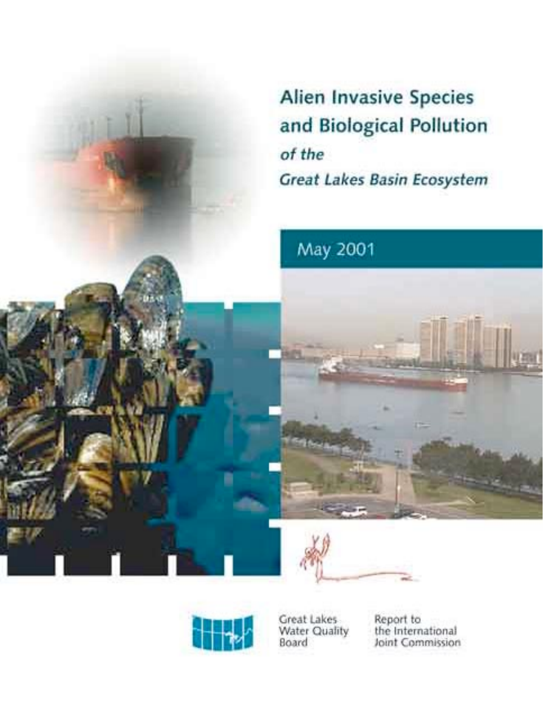**Alien Invasive Species** and Biological Pollution of the Great Lakes Basin Ecosystem

# May 2001







Great Lakes Water Quality<br>Board Report to the International Joint Commission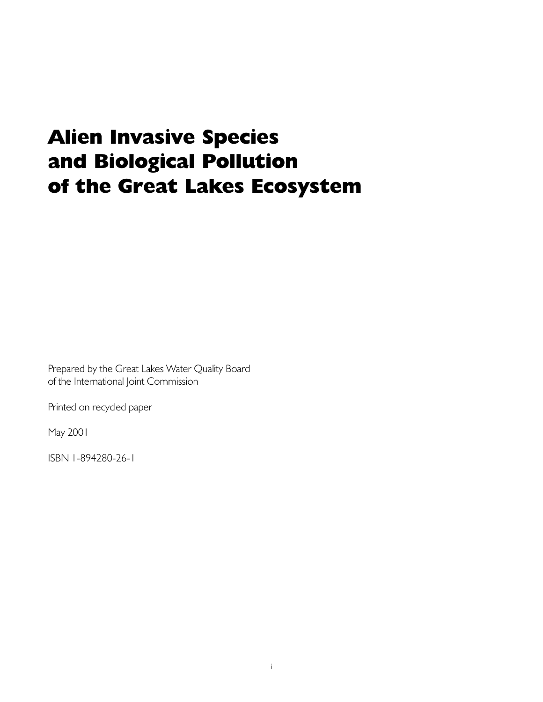# **Alien Invasive Species** and Biological Pollution of the Great Lakes Ecosystem

Prepared by the Great Lakes Water Quality Board of the International Joint Commission

Printed on recycled paper

May 2001

ISBN 1-894280-26-1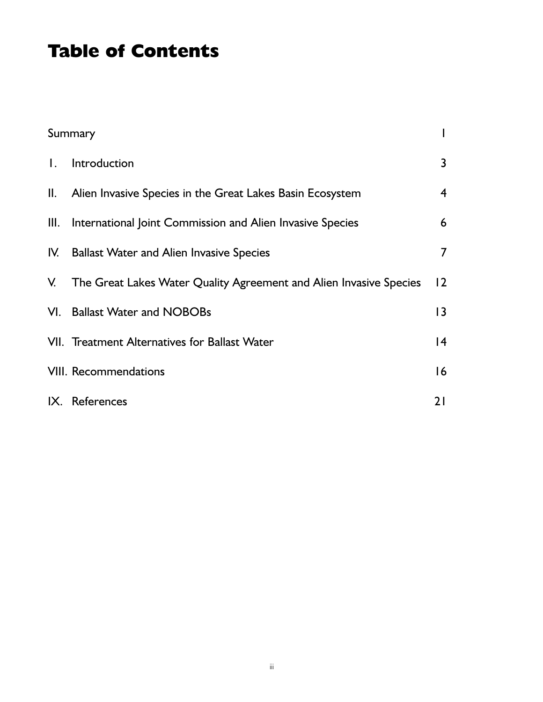## **Table of Contents**

|                | Summary                                                               |                |
|----------------|-----------------------------------------------------------------------|----------------|
| $\mathbf{I}$ . | Introduction                                                          | 3              |
|                | II. Alien Invasive Species in the Great Lakes Basin Ecosystem         | $\overline{4}$ |
| Ш.             | International Joint Commission and Alien Invasive Species             | 6              |
|                | IV. Ballast Water and Alien Invasive Species                          | $\overline{7}$ |
|                | V. The Great Lakes Water Quality Agreement and Alien Invasive Species | 12             |
|                | VI. Ballast Water and NOBOBs                                          | 3              |
|                | VII. Treatment Alternatives for Ballast Water                         | 4              |
|                | <b>VIII. Recommendations</b>                                          | 16             |
|                | IX. References                                                        | 21             |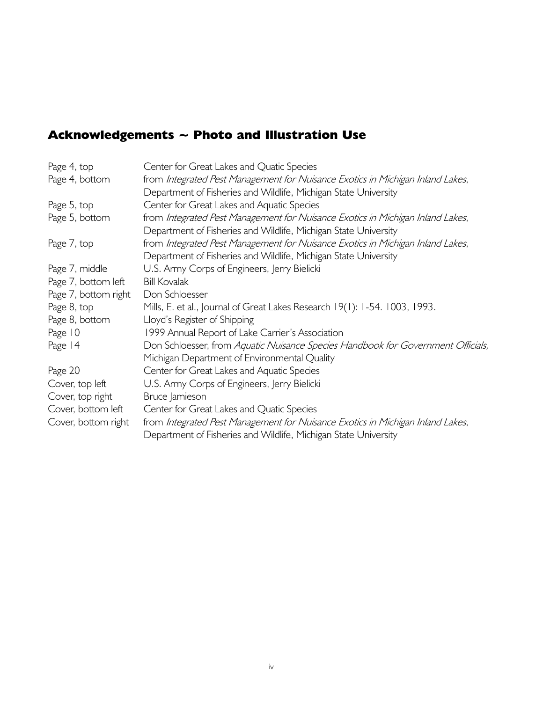### Acknowledgements ~ Photo and Illustration Use

| Page 4, top          | Center for Great Lakes and Quatic Species                                        |
|----------------------|----------------------------------------------------------------------------------|
| Page 4, bottom       | from Integrated Pest Management for Nuisance Exotics in Michigan Inland Lakes,   |
|                      | Department of Fisheries and Wildlife, Michigan State University                  |
| Page 5, top          | Center for Great Lakes and Aquatic Species                                       |
| Page 5, bottom       | from Integrated Pest Management for Nuisance Exotics in Michigan Inland Lakes,   |
|                      | Department of Fisheries and Wildlife, Michigan State University                  |
| Page 7, top          | from Integrated Pest Management for Nuisance Exotics in Michigan Inland Lakes,   |
|                      | Department of Fisheries and Wildlife, Michigan State University                  |
| Page 7, middle       | U.S. Army Corps of Engineers, Jerry Bielicki                                     |
| Page 7, bottom left  | <b>Bill Kovalak</b>                                                              |
| Page 7, bottom right | Don Schloesser                                                                   |
| Page 8, top          | Mills, E. et al., Journal of Great Lakes Research 19(1): 1-54. 1003, 1993.       |
| Page 8, bottom       | Lloyd's Register of Shipping                                                     |
| Page 10              | 1999 Annual Report of Lake Carrier's Association                                 |
| Page 14              | Don Schloesser, from Aquatic Nuisance Species Handbook for Government Officials, |
|                      | Michigan Department of Environmental Quality                                     |
| Page 20              | Center for Great Lakes and Aquatic Species                                       |
| Cover, top left      | U.S. Army Corps of Engineers, Jerry Bielicki                                     |
| Cover, top right     | Bruce Jamieson                                                                   |
| Cover, bottom left   | Center for Great Lakes and Quatic Species                                        |
| Cover, bottom right  | from Integrated Pest Management for Nuisance Exotics in Michigan Inland Lakes,   |
|                      | Department of Fisheries and Wildlife, Michigan State University                  |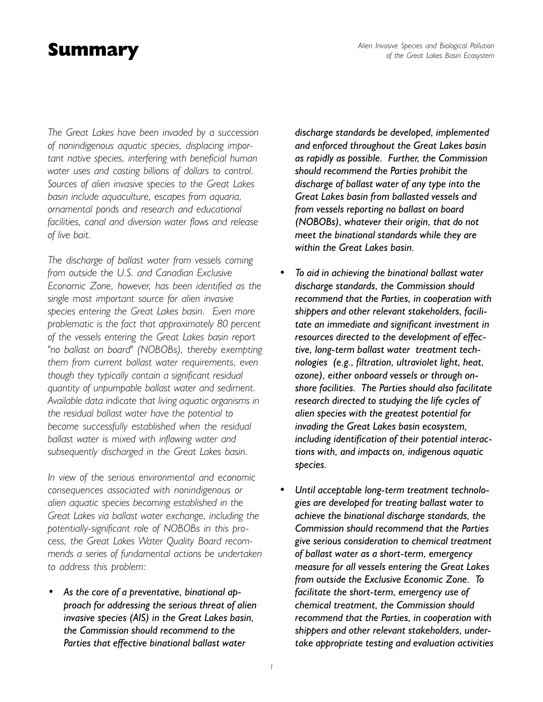### Summary

*The Great Lakes have been invaded by a succession of nonindigenous aquatic species, displacing important native species, interfering with beneficial human water uses and costing billions of dollars to control. Sources of alien invasive species to the Great Lakes basin include aquaculture, escapes from aquaria, ornamental ponds and research and educational facilities, canal and diversion water flows and release of live bait.*

*The discharge of ballast water from vessels coming from outside the U.S. and Canadian Exclusive Economic Zone, however, has been identified as the single most important source for alien invasive species entering the Great Lakes basin. Even more problematic is the fact that approximately 80 percent of the vessels entering the Great Lakes basin report "no ballast on board" (NOBOBs), thereby exempting them from current ballast water requirements, even though they typically contain a significant residual quantity of unpumpable ballast water and sediment. Available data indicate that living aquatic organisms in the residual ballast water have the potential to become successfully established when the residual ballast water is mixed with inflowing water and subsequently discharged in the Great Lakes basin.*

*In view of the serious environmental and economic consequences associated with nonindigenous or alien aquatic species becoming established in the Great Lakes via ballast water exchange, including the potentially-significant role of NOBOBs in this process, the Great Lakes Water Quality Board recommends a series of fundamental actions be undertaken to address this problem:*

As the core of a preventative, binational ap*proach for addressing the serious threat of alien invasive species (AIS) in the Great Lakes basin, the Commission should recommend to the Parties that effective binational ballast water*

*discharge standards be developed, implemented and enforced throughout the Great Lakes basin as rapidly as possible. Further, the Commission should recommend the Parties prohibit the discharge of ballast water of any type into the Great Lakes basin from ballasted vessels and from vessels reporting no ballast on board (NOBOBs), whatever their origin, that do not meet the binational standards while they are within the Great Lakes basin.*

- *ï To aid in achieving the binational ballast water discharge standards, the Commission should recommend that the Parties, in cooperation with shippers and other relevant stakeholders, facilitate an immediate and significant investment in resources directed to the development of effective, long-term ballast water treatment technologies (e.g., filtration, ultraviolet light, heat, ozone), either onboard vessels or through onshore facilities. The Parties should also facilitate research directed to studying the life cycles of alien species with the greatest potential for invading the Great Lakes basin ecosystem, including identification of their potential interactions with, and impacts on, indigenous aquatic species.*
- Until acceptable long-term treatment technolo*gies are developed for treating ballast water to achieve the binational discharge standards, the Commission should recommend that the Parties give serious consideration to chemical treatment of ballast water as a short-term, emergency measure for all vessels entering the Great Lakes from outside the Exclusive Economic Zone. To facilitate the short-term, emergency use of chemical treatment, the Commission should recommend that the Parties, in cooperation with shippers and other relevant stakeholders, undertake appropriate testing and evaluation activities*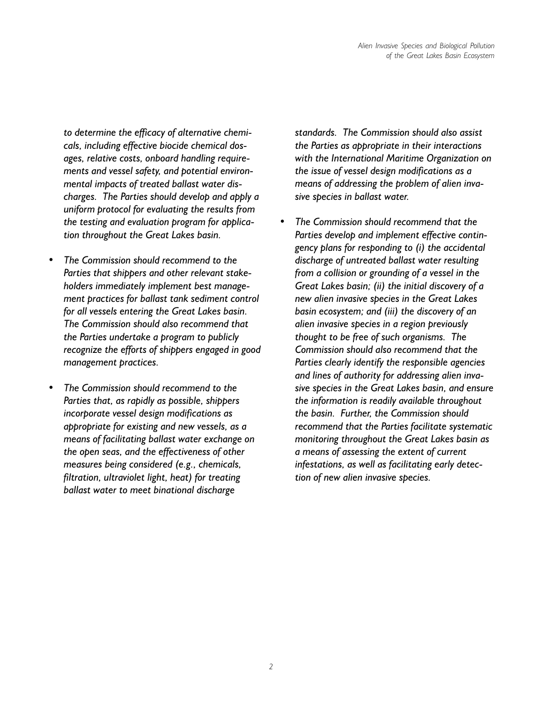*to determine the efficacy of alternative chemicals, including effective biocide chemical dosages, relative costs, onboard handling requirements and vessel safety, and potential environmental impacts of treated ballast water discharges. The Parties should develop and apply a uniform protocol for evaluating the results from the testing and evaluation program for application throughout the Great Lakes basin.*

- *ï The Commission should recommend to the Parties that shippers and other relevant stakeholders immediately implement best management practices for ballast tank sediment control for all vessels entering the Great Lakes basin. The Commission should also recommend that the Parties undertake a program to publicly recognize the efforts of shippers engaged in good management practices.*
- *ï The Commission should recommend to the Parties that, as rapidly as possible, shippers incorporate vessel design modifications as appropriate for existing and new vessels, as a means of facilitating ballast water exchange on the open seas, and the effectiveness of other measures being considered (e.g., chemicals, filtration, ultraviolet light, heat) for treating ballast water to meet binational discharge*

*standards. The Commission should also assist the Parties as appropriate in their interactions with the International Maritime Organization on the issue of vessel design modifications as a means of addressing the problem of alien invasive species in ballast water.*

*ï The Commission should recommend that the Parties develop and implement effective contingency plans for responding to (i) the accidental discharge of untreated ballast water resulting from a collision or grounding of a vessel in the Great Lakes basin; (ii) the initial discovery of a new alien invasive species in the Great Lakes basin ecosystem; and (iii) the discovery of an alien invasive species in a region previously thought to be free of such organisms. The Commission should also recommend that the Parties clearly identify the responsible agencies and lines of authority for addressing alien invasive species in the Great Lakes basin, and ensure the information is readily available throughout the basin. Further, the Commission should recommend that the Parties facilitate systematic monitoring throughout the Great Lakes basin as a means of assessing the extent of current infestations, as well as facilitating early detection of new alien invasive species.*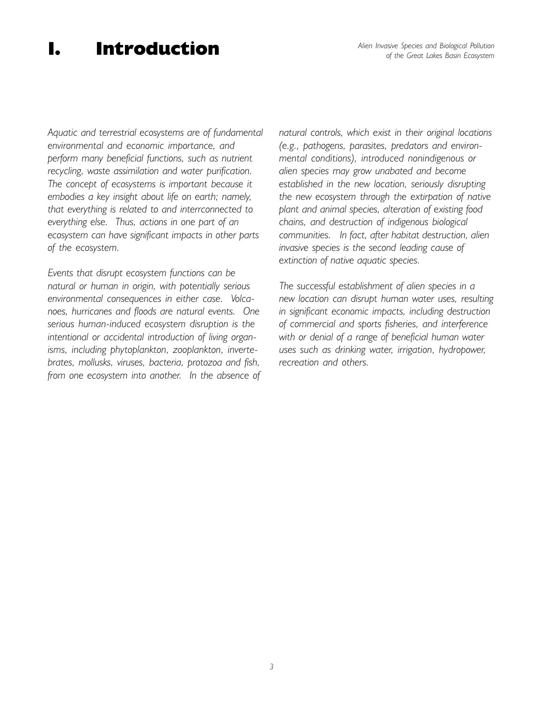## I. Introduction

*Aquatic and terrestrial ecosystems are of fundamental environmental and economic importance, and perform many beneficial functions, such as nutrient recycling, waste assimilation and water purification. The concept of ecosystems is important because it embodies a key insight about life on earth; namely, that everything is related to and interrconnected to everything else. Thus, actions in one part of an ecosystem can have significant impacts in other parts of the ecosystem.*

*Events that disrupt ecosystem functions can be natural or human in origin, with potentially serious environmental consequences in either case. Volcanoes, hurricanes and floods are natural events. One serious human-induced ecosystem disruption is the intentional or accidental introduction of living organisms, including phytoplankton, zooplankton, invertebrates, mollusks, viruses, bacteria, protozoa and fish, from one ecosystem into another. In the absence of* *natural controls, which exist in their original locations (e.g., pathogens, parasites, predators and environmental conditions), introduced nonindigenous or alien species may grow unabated and become established in the new location, seriously disrupting the new ecosystem through the extirpation of native plant and animal species, alteration of existing food chains, and destruction of indigenous biological communities. In fact, after habitat destruction, alien invasive species is the second leading cause of extinction of native aquatic species.*

*The successful establishment of alien species in a new location can disrupt human water uses, resulting in significant economic impacts, including destruction of commercial and sports fisheries, and interference with or denial of a range of beneficial human water uses such as drinking water, irrigation, hydropower, recreation and others.*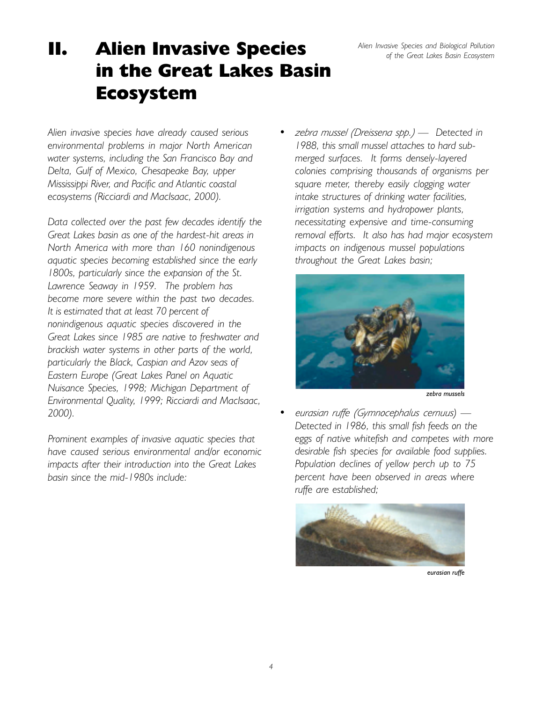*Alien Invasive Species and Biological Pollution of the Great Lakes Basin Ecosystem*

# II. Alien Invasive Species in the Great Lakes Basin Ecosystem

*Alien invasive species have already caused serious environmental problems in major North American water systems, including the San Francisco Bay and Delta, Gulf of Mexico, Chesapeake Bay, upper Mississippi River, and Pacific and Atlantic coastal ecosystems (Ricciardi and MacIsaac, 2000).*

*Data collected over the past few decades identify the Great Lakes basin as one of the hardest-hit areas in North America with more than 160 nonindigenous aquatic species becoming established since the early 1800s, particularly since the expansion of the St. Lawrence Seaway in 1959. The problem has become more severe within the past two decades. It is estimated that at least 70 percent of nonindigenous aquatic species discovered in the Great Lakes since 1985 are native to freshwater and brackish water systems in other parts of the world, particularly the Black, Caspian and Azov seas of Eastern Europe (Great Lakes Panel on Aquatic Nuisance Species, 1998; Michigan Department of Environmental Quality, 1999; Ricciardi and MacIsaac, 2000).*

*Prominent examples of invasive aquatic species that have caused serious environmental and/or economic impacts after their introduction into the Great Lakes basin since the mid-1980s include:*

*ï zebra mussel (Dreissena spp.) ó Detected in 1988, this small mussel attaches to hard submerged surfaces. It forms densely-layered colonies comprising thousands of organisms per square meter, thereby easily clogging water intake structures of drinking water facilities, irrigation systems and hydropower plants, necessitating expensive and time-consuming removal efforts. It also has had major ecosystem impacts on indigenous mussel populations throughout the Great Lakes basin;*



*zebra mussels*

*eurasian ruffe (Gymnocephalus cernuus*) — *Detected in 1986, this small fish feeds on the eggs of native whitefish and competes with more desirable fish species for available food supplies. Population declines of yellow perch up to 75 percent have been observed in areas where ruffe are established;*



*eurasian ruffe*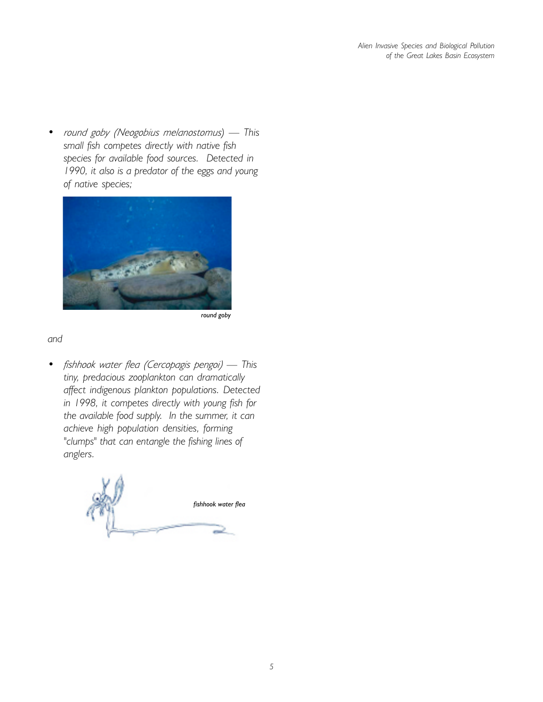*round goby (Neogobius melanostomus*) — This *small fish competes directly with native fish species for available food sources. Detected in 1990, it also is a predator of the eggs and young of native species;*



*round goby*

#### *and*

*ï fishhook water flea (Cercopagis pengoi) ó This tiny, predacious zooplankton can dramatically affect indigenous plankton populations. Detected in 1998, it competes directly with young fish for the available food supply. In the summer, it can achieve high population densities, forming "clumps" that can entangle the fishing lines of anglers.*

*fishhook water flea*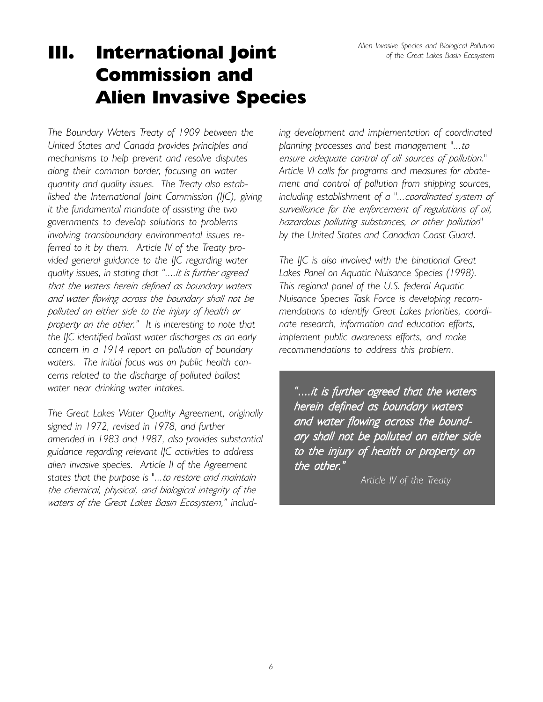# III. International Joint Commission and Alien Invasive Species

*The Boundary Waters Treaty of 1909 between the United States and Canada provides principles and mechanisms to help prevent and resolve disputes along their common border, focusing on water quantity and quality issues. The Treaty also established the International Joint Commission (IJC), giving it the fundamental mandate of assisting the two governments to develop solutions to problems involving transboundary environmental issues referred to it by them. Article IV of the Treaty provided general guidance to the IJC regarding water quality issues, in stating that ì....it is further agreed that the waters herein defined as boundary waters and water flowing across the boundary shall not be polluted on either side to the injury of health or property on the other.î It is interesting to note that the IJC identified ballast water discharges as an early concern in a 1914 report on pollution of boundary waters. The initial focus was on public health concerns related to the discharge of polluted ballast water near drinking water intakes.*

*The Great Lakes Water Quality Agreement, originally signed in 1972, revised in 1978, and further amended in 1983 and 1987, also provides substantial guidance regarding relevant IJC activities to address alien invasive species. Article II of the Agreement states that the purpose is "...to restore and maintain the chemical, physical, and biological integrity of the waters of the Great Lakes Basin Ecosystem,î includ-* *ing development and implementation of coordinated planning processes and best management "...to ensure adequate control of all sources of pollution." Article VI calls for programs and measures for abatement and control of pollution from shipping sources, including establishment of a "...coordinated system of surveillance for the enforcement of regulations of oil, hazardous polluting substances, or other pollution" by the United States and Canadian Coast Guard.*

*The IJC is also involved with the binational Great Lakes Panel on Aquatic Nuisance Species (1998). This regional panel of the U.S. federal Aquatic Nuisance Species Task Force is developing recommendations to identify Great Lakes priorities, coordinate research, information and education efforts, implement public awareness efforts, and make recommendations to address this problem.*

*ì....it is further agreed that the waters is further agreed that the waters herein defined as boundary waters defined waters and water flowing across the bound- and across the boundary shall not be polluted on either side ary polluted side to the injury of health or property on the injury health or property on the other the other.î*

*Article IV of the Treaty*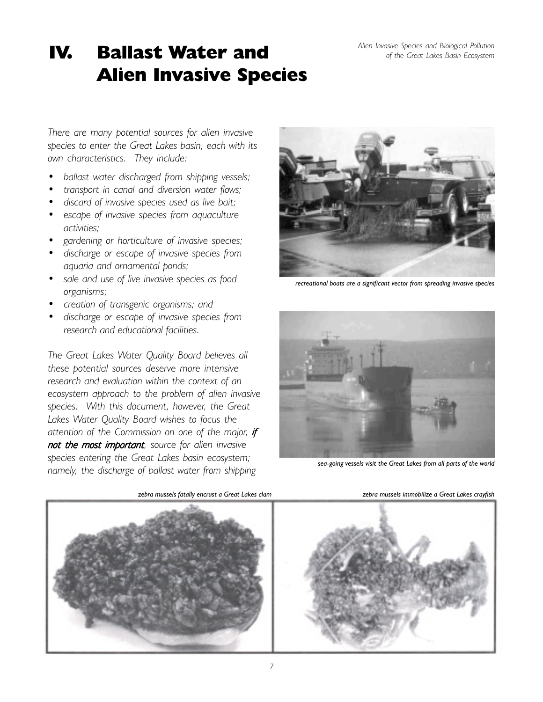## IV. Ballast Water and Alien Invasive Species

*There are many potential sources for alien invasive species to enter the Great Lakes basin, each with its own characteristics. They include:*

- *ï ballast water discharged from shipping vessels;*
- *ï transport in canal and diversion water flows;*
- *ï discard of invasive species used as live bait;*
- *ï escape of invasive species from aquaculture activities;*
- *ï gardening or horticulture of invasive species;*
- *ï discharge or escape of invasive species from aquaria and ornamental ponds;*
- *ï sale and use of live invasive species as food organisms;*
- *ï creation of transgenic organisms; and*
- *ï discharge or escape of invasive species from research and educational facilities.*

*The Great Lakes Water Quality Board believes all these potential sources deserve more intensive research and evaluation within the context of an ecosystem approach to the problem of alien invasive species. With this document, however, the Great Lakes Water Quality Board wishes to focus the attention of the Commission on one of the major, if not the most important*, source for alien invasive *species entering the Great Lakes basin ecosystem; namely, the discharge of ballast water from shipping*



*recreational boats are a significant vector from spreading invasive species*



*sea-going vessels visit the Great Lakes from all parts of the world*



zebra mussels fatally encrust a Great Lakes clam *zebra mussels immobilize a Great Lakes crayfish*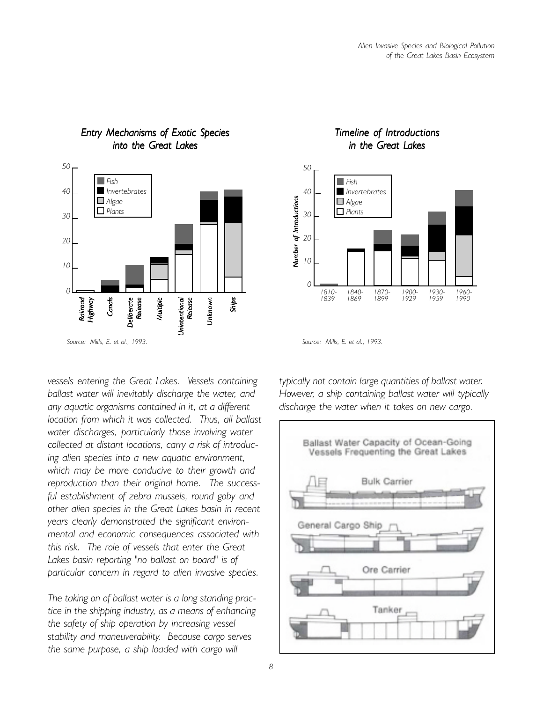

#### *Entry Mechanisms of Exotic Species Entry Mechanisms Exotic into the Great Lakes*

*vessels entering the Great Lakes. Vessels containing ballast water will inevitably discharge the water, and any aquatic organisms contained in it, at a different location from which it was collected. Thus, all ballast water discharges, particularly those involving water collected at distant locations, carry a risk of introducing alien species into a new aquatic environment, which may be more conducive to their growth and reproduction than their original home. The successful establishment of zebra mussels, round goby and other alien species in the Great Lakes basin in recent years clearly demonstrated the significant environmental and economic consequences associated with this risk. The role of vessels that enter the Great Lakes basin reporting "no ballast on board" is of particular concern in regard to alien invasive species.*

*The taking on of ballast water is a long standing practice in the shipping industry, as a means of enhancing the safety of ship operation by increasing vessel stability and maneuverability. Because cargo serves the same purpose, a ship loaded with cargo will*

#### *Timeline of Introductions imeline of in the Great Lakes*



*typically not contain large quantities of ballast water. However, a ship containing ballast water will typically discharge the water when it takes on new cargo.*

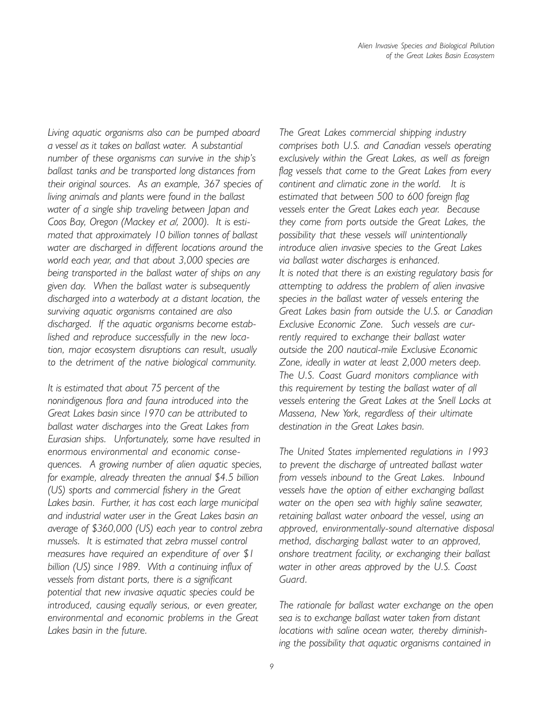*Living aquatic organisms also can be pumped aboard a vessel as it takes on ballast water. A substantial number of these organisms can survive in the shipís ballast tanks and be transported long distances from their original sources. As an example, 367 species of living animals and plants were found in the ballast water of a single ship traveling between Japan and Coos Bay, Oregon (Mackey et al, 2000). It is estimated that approximately 10 billion tonnes of ballast water are discharged in different locations around the world each year, and that about 3,000 species are being transported in the ballast water of ships on any given day. When the ballast water is subsequently discharged into a waterbody at a distant location, the surviving aquatic organisms contained are also discharged. If the aquatic organisms become established and reproduce successfully in the new location, major ecosystem disruptions can result, usually to the detriment of the native biological community.*

*It is estimated that about 75 percent of the nonindigenous flora and fauna introduced into the Great Lakes basin since 1970 can be attributed to ballast water discharges into the Great Lakes from Eurasian ships. Unfortunately, some have resulted in enormous environmental and economic consequences. A growing number of alien aquatic species, for example, already threaten the annual \$4.5 billion (US) sports and commercial fishery in the Great Lakes basin. Further, it has cost each large municipal and industrial water user in the Great Lakes basin an average of \$360,000 (US) each year to control zebra mussels. It is estimated that zebra mussel control measures have required an expenditure of over \$1 billion (US) since 1989. With a continuing influx of vessels from distant ports, there is a significant potential that new invasive aquatic species could be introduced, causing equally serious, or even greater, environmental and economic problems in the Great Lakes basin in the future.*

*The Great Lakes commercial shipping industry comprises both U.S. and Canadian vessels operating exclusively within the Great Lakes, as well as foreign flag vessels that come to the Great Lakes from every continent and climatic zone in the world. It is estimated that between 500 to 600 foreign flag vessels enter the Great Lakes each year. Because they come from ports outside the Great Lakes, the possibility that these vessels will unintentionally introduce alien invasive species to the Great Lakes via ballast water discharges is enhanced. It is noted that there is an existing regulatory basis for attempting to address the problem of alien invasive species in the ballast water of vessels entering the Great Lakes basin from outside the U.S. or Canadian Exclusive Economic Zone. Such vessels are currently required to exchange their ballast water outside the 200 nautical-mile Exclusive Economic Zone, ideally in water at least 2,000 meters deep. The U.S. Coast Guard monitors compliance with this requirement by testing the ballast water of all vessels entering the Great Lakes at the Snell Locks at Massena, New York, regardless of their ultimate destination in the Great Lakes basin.*

*The United States implemented regulations in 1993 to prevent the discharge of untreated ballast water from vessels inbound to the Great Lakes. Inbound vessels have the option of either exchanging ballast water on the open sea with highly saline seawater, retaining ballast water onboard the vessel, using an approved, environmentally-sound alternative disposal method, discharging ballast water to an approved, onshore treatment facility, or exchanging their ballast water in other areas approved by the U.S. Coast Guard.*

*The rationale for ballast water exchange on the open sea is to exchange ballast water taken from distant locations with saline ocean water, thereby diminishing the possibility that aquatic organisms contained in*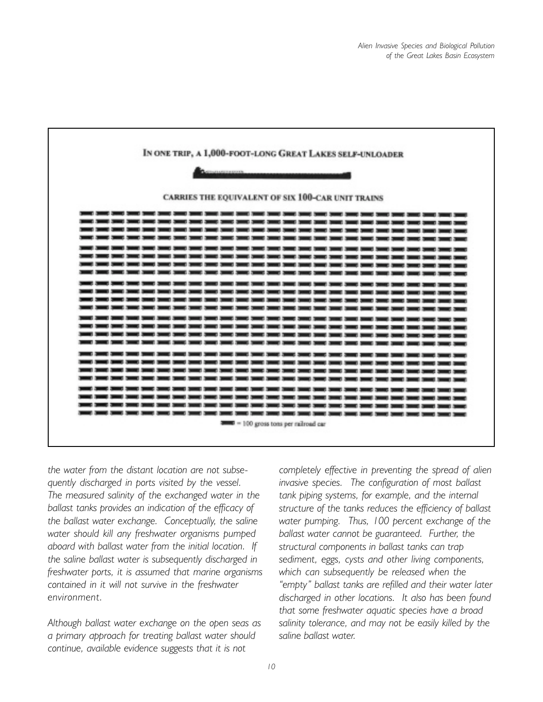

*the water from the distant location are not subsequently discharged in ports visited by the vessel. The measured salinity of the exchanged water in the ballast tanks provides an indication of the efficacy of the ballast water exchange. Conceptually, the saline water should kill any freshwater organisms pumped aboard with ballast water from the initial location. If the saline ballast water is subsequently discharged in freshwater ports, it is assumed that marine organisms contained in it will not survive in the freshwater environment.*

*Although ballast water exchange on the open seas as a primary approach for treating ballast water should continue, available evidence suggests that it is not*

*completely effective in preventing the spread of alien invasive species. The configuration of most ballast tank piping systems, for example, and the internal structure of the tanks reduces the efficiency of ballast water pumping. Thus, 100 percent exchange of the ballast water cannot be guaranteed. Further, the structural components in ballast tanks can trap sediment, eggs, cysts and other living components, which can subsequently be released when the ìemptyî ballast tanks are refilled and their water later discharged in other locations. It also has been found that some freshwater aquatic species have a broad salinity tolerance, and may not be easily killed by the saline ballast water.*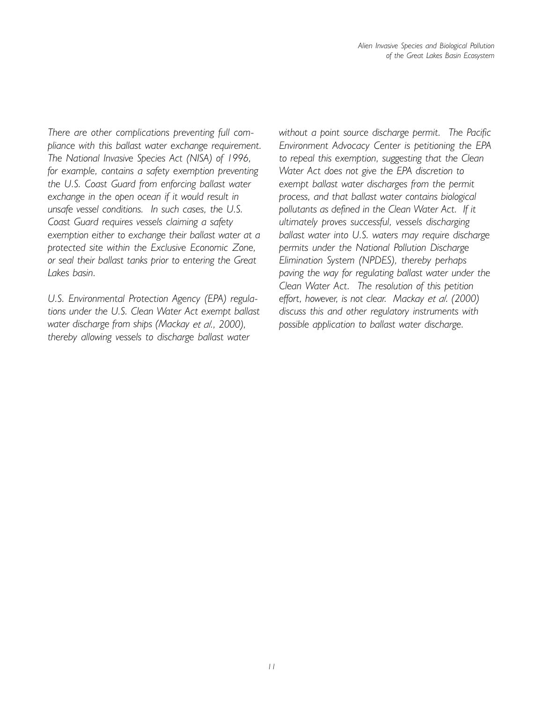*There are other complications preventing full compliance with this ballast water exchange requirement. The National Invasive Species Act (NISA) of 1996, for example, contains a safety exemption preventing the U.S. Coast Guard from enforcing ballast water exchange in the open ocean if it would result in unsafe vessel conditions. In such cases, the U.S. Coast Guard requires vessels claiming a safety exemption either to exchange their ballast water at a protected site within the Exclusive Economic Zone, or seal their ballast tanks prior to entering the Great Lakes basin.*

*U.S. Environmental Protection Agency (EPA) regulations under the U.S. Clean Water Act exempt ballast water discharge from ships (Mackay et al., 2000), thereby allowing vessels to discharge ballast water*

*without a point source discharge permit. The Pacific Environment Advocacy Center is petitioning the EPA to repeal this exemption, suggesting that the Clean Water Act does not give the EPA discretion to exempt ballast water discharges from the permit process, and that ballast water contains biological pollutants as defined in the Clean Water Act. If it ultimately proves successful, vessels discharging ballast water into U.S. waters may require discharge permits under the National Pollution Discharge Elimination System (NPDES), thereby perhaps paving the way for regulating ballast water under the Clean Water Act. The resolution of this petition effort, however, is not clear. Mackay et al. (2000) discuss this and other regulatory instruments with possible application to ballast water discharge.*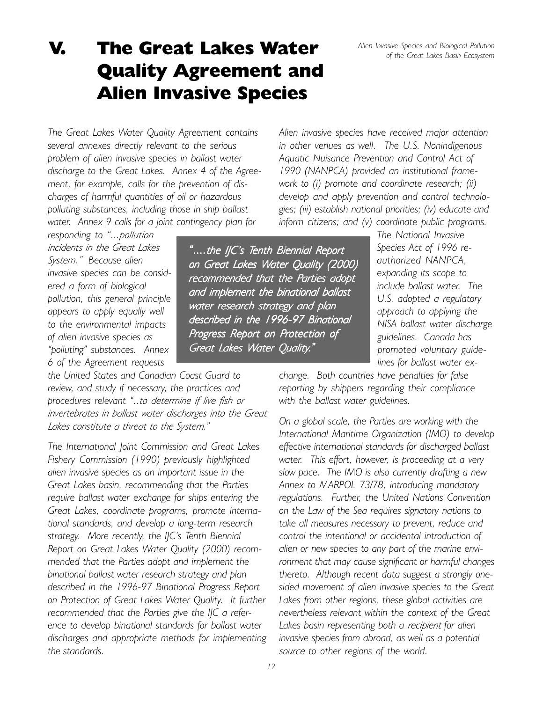*<i>°***....the IJC's Tenth Biennial Report** *on Great L on Great Lakes Water Quality (2000) ater Quality (2000) recommended that the Parties adopt arties adopt and implement the binational ballast and implement binational water research strategy and plan described in the 1996-97 Binational 1996-97 described the 1996-97 Progress Report on Protection of rotection of*

*Great Lakes Water Quality.*<sup>*"*</sup>

*Alien Invasive Species and Biological Pollution of the Great Lakes Basin Ecosystem*

## V. The Great Lakes Water Quality Agreement and Alien Invasive Species

*The Great Lakes Water Quality Agreement contains several annexes directly relevant to the serious problem of alien invasive species in ballast water discharge to the Great Lakes. Annex 4 of the Agreement, for example, calls for the prevention of discharges of harmful quantities of oil or hazardous polluting substances, including those in ship ballast water. Annex 9 calls for a joint contingency plan for*

*responding to "...pollution incidents in the Great Lakes System.î Because alien invasive species can be considered a form of biological pollution, this general principle appears to apply equally well to the environmental impacts of alien invasive species as ìpollutingî substances. Annex 6 of the Agreement requests*

*the United States and Canadian Coast Guard to review, and study if necessary, the practices and procedures relevant ì..to determine if live fish or invertebrates in ballast water discharges into the Great* Lakes constitute a threat to the System.<sup>"</sup>

*The International Joint Commission and Great Lakes Fishery Commission (1990) previously highlighted alien invasive species as an important issue in the Great Lakes basin, recommending that the Parties require ballast water exchange for ships entering the Great Lakes, coordinate programs, promote international standards, and develop a long-term research strategy. More recently, the IJCís Tenth Biennial Report on Great Lakes Water Quality (2000) recommended that the Parties adopt and implement the binational ballast water research strategy and plan described in the 1996-97 Binational Progress Report on Protection of Great Lakes Water Quality. It further recommended that the Parties give the IJC a reference to develop binational standards for ballast water discharges and appropriate methods for implementing the standards.*

*Alien invasive species have received major attention in other venues as well. The U.S. Nonindigenous Aquatic Nuisance Prevention and Control Act of 1990 (NANPCA) provided an institutional framework to (i) promote and coordinate research; (ii) develop and apply prevention and control technologies; (iii) establish national priorities; (iv) educate and inform citizens; and (v) coordinate public programs.*

*The National Invasive Species Act of 1996 reauthorized NANPCA, expanding its scope to include ballast water. The U.S. adopted a regulatory approach to applying the NISA ballast water discharge guidelines. Canada has promoted voluntary guidelines for ballast water ex-*

*change. Both countries have penalties for false reporting by shippers regarding their compliance with the ballast water guidelines.*

*On a global scale, the Parties are working with the International Maritime Organization (IMO) to develop effective international standards for discharged ballast water. This effort, however, is proceeding at a very slow pace. The IMO is also currently drafting a new Annex to MARPOL 73/78, introducing mandatory regulations. Further, the United Nations Convention on the Law of the Sea requires signatory nations to take all measures necessary to prevent, reduce and control the intentional or accidental introduction of alien or new species to any part of the marine environment that may cause significant or harmful changes thereto. Although recent data suggest a strongly onesided movement of alien invasive species to the Great Lakes from other regions, these global activities are nevertheless relevant within the context of the Great Lakes basin representing both a recipient for alien invasive species from abroad, as well as a potential source to other regions of the world.*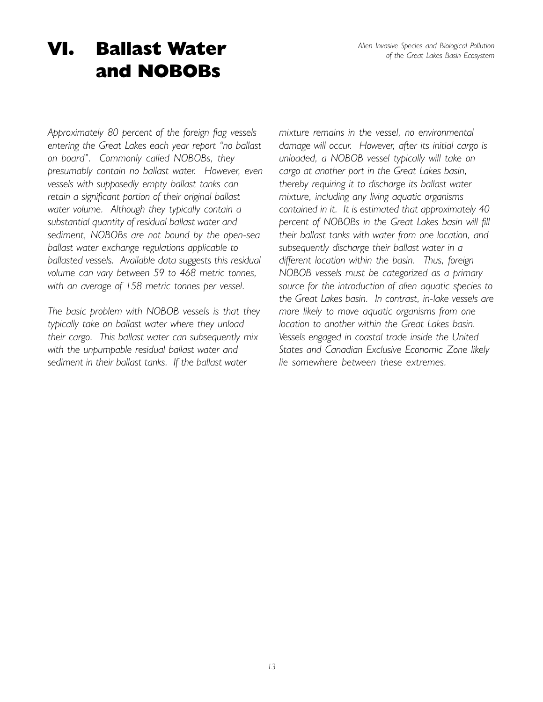*Alien Invasive Species and Biological Pollution of the Great Lakes Basin Ecosystem*

## VI. Ballast Water and NOBOBs

*Approximately 80 percent of the foreign flag vessels* entering the Great Lakes each year report "no ballast *on boardî. Commonly called NOBOBs, they presumably contain no ballast water. However, even vessels with supposedly empty ballast tanks can retain a significant portion of their original ballast water volume. Although they typically contain a substantial quantity of residual ballast water and sediment, NOBOBs are not bound by the open-sea ballast water exchange regulations applicable to ballasted vessels. Available data suggests this residual volume can vary between 59 to 468 metric tonnes, with an average of 158 metric tonnes per vessel.*

*The basic problem with NOBOB vessels is that they typically take on ballast water where they unload their cargo. This ballast water can subsequently mix with the unpumpable residual ballast water and sediment in their ballast tanks. If the ballast water*

*mixture remains in the vessel, no environmental damage will occur. However, after its initial cargo is unloaded, a NOBOB vessel typically will take on cargo at another port in the Great Lakes basin, thereby requiring it to discharge its ballast water mixture, including any living aquatic organisms contained in it. It is estimated that approximately 40 percent of NOBOBs in the Great Lakes basin will fill their ballast tanks with water from one location, and subsequently discharge their ballast water in a different location within the basin. Thus, foreign NOBOB vessels must be categorized as a primary source for the introduction of alien aquatic species to the Great Lakes basin. In contrast, in-lake vessels are more likely to move aquatic organisms from one location to another within the Great Lakes basin. Vessels engaged in coastal trade inside the United States and Canadian Exclusive Economic Zone likely lie somewhere between these extremes.*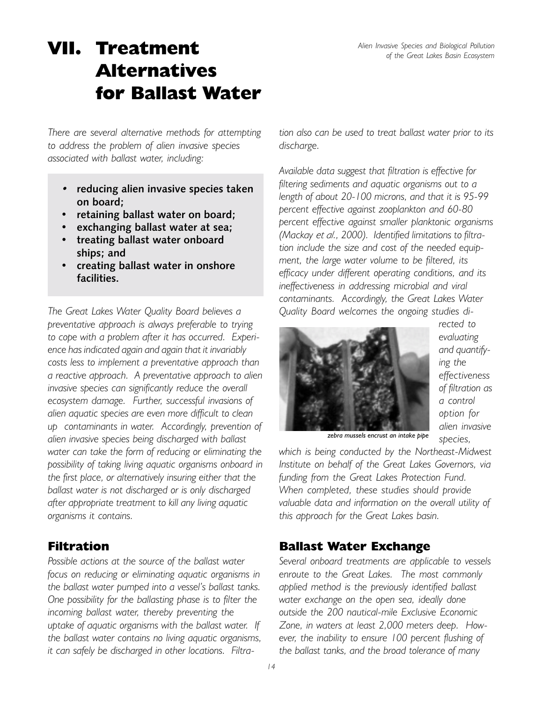# VII. Treatment Alternatives for Ballast Water

*There are several alternative methods for attempting to address the problem of alien invasive species associated with ballast water, including:*

- *ï* **reducing alien invasive species taken on board;**
- **ï retaining ballast water on board;**
- **ï exchanging ballast water at sea;**
- **ï treating ballast water onboard ships; and**
- **ï creating ballast water in onshore facilities.**

*The Great Lakes Water Quality Board believes a preventative approach is always preferable to trying to cope with a problem after it has occurred. Experience has indicated again and again that it invariably costs less to implement a preventative approach than a reactive approach. A preventative approach to alien invasive species can significantly reduce the overall ecosystem damage. Further, successful invasions of alien aquatic species are even more difficult to clean up contaminants in water. Accordingly, prevention of alien invasive species being discharged with ballast water can take the form of reducing or eliminating the possibility of taking living aquatic organisms onboard in the first place, or alternatively insuring either that the ballast water is not discharged or is only discharged after appropriate treatment to kill any living aquatic organisms it contains.*

#### Filtration

*Possible actions at the source of the ballast water focus on reducing or eliminating aquatic organisms in the ballast water pumped into a vesselís ballast tanks. One possibility for the ballasting phase is to filter the incoming ballast water, thereby preventing the uptake of aquatic organisms with the ballast water. If the ballast water contains no living aquatic organisms, it can safely be discharged in other locations. Filtra-* *tion also can be used to treat ballast water prior to its discharge.*

*Available data suggest that filtration is effective for filtering sediments and aquatic organisms out to a length of about 20-100 microns, and that it is 95-99 percent effective against zooplankton and 60-80 percent effective against smaller planktonic organisms (Mackay et al., 2000). Identified limitations to filtration include the size and cost of the needed equipment, the large water volume to be filtered, its efficacy under different operating conditions, and its ineffectiveness in addressing microbial and viral contaminants. Accordingly, the Great Lakes Water Quality Board welcomes the ongoing studies di-*



*rected to evaluating and quantifying the effectiveness of filtration as a control option for alien invasive species,*

*zebra mussels encrust an intake pipe*

*which is being conducted by the Northeast-Midwest Institute on behalf of the Great Lakes Governors, via funding from the Great Lakes Protection Fund. When completed, these studies should provide valuable data and information on the overall utility of this approach for the Great Lakes basin.*

#### Ballast Water Exchange

*Several onboard treatments are applicable to vessels enroute to the Great Lakes. The most commonly applied method is the previously identified ballast water exchange on the open sea, ideally done outside the 200 nautical-mile Exclusive Economic Zone, in waters at least 2,000 meters deep. However, the inability to ensure 100 percent flushing of the ballast tanks, and the broad tolerance of many*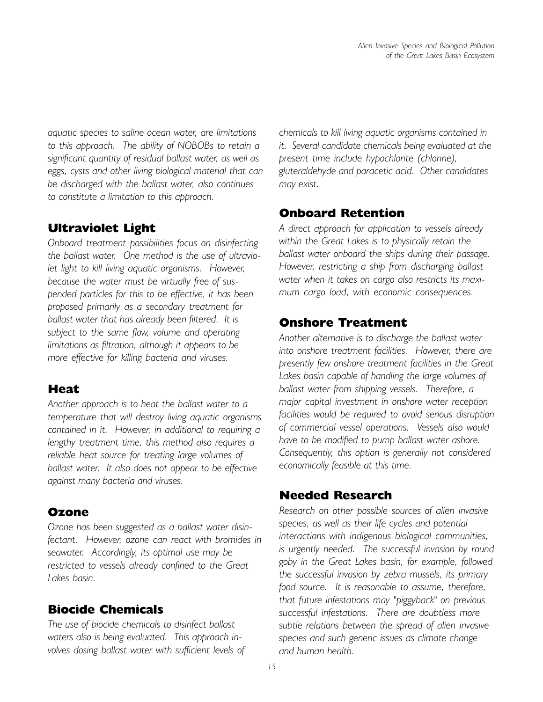*aquatic species to saline ocean water, are limitations to this approach. The ability of NOBOBs to retain a significant quantity of residual ballast water, as well as eggs, cysts and other living biological material that can be discharged with the ballast water, also continues to constitute a limitation to this approach.*

### Ultraviolet Light

*Onboard treatment possibilities focus on disinfecting the ballast water. One method is the use of ultraviolet light to kill living aquatic organisms. However, because the water must be virtually free of suspended particles for this to be effective, it has been proposed primarily as a secondary treatment for ballast water that has already been filtered. It is subject to the same flow, volume and operating limitations as filtration, although it appears to be more effective for killing bacteria and viruses.*

#### Heat

*Another approach is to heat the ballast water to a temperature that will destroy living aquatic organisms contained in it. However, in additional to requiring a lengthy treatment time, this method also requires a reliable heat source for treating large volumes of ballast water. It also does not appear to be effective against many bacteria and viruses.*

#### Ozone

*Ozone has been suggested as a ballast water disinfectant. However, ozone can react with bromides in seawater. Accordingly, its optimal use may be restricted to vessels already confined to the Great Lakes basin.*

### Biocide Chemicals

*The use of biocide chemicals to disinfect ballast waters also is being evaluated. This approach involves dosing ballast water with sufficient levels of* *chemicals to kill living aquatic organisms contained in it. Several candidate chemicals being evaluated at the present time include hypochlorite (chlorine), gluteraldehyde and paracetic acid. Other candidates may exist.*

### Onboard Retention

*A direct approach for application to vessels already within the Great Lakes is to physically retain the ballast water onboard the ships during their passage. However, restricting a ship from discharging ballast water when it takes on cargo also restricts its maximum cargo load, with economic consequences.*

#### Onshore Treatment

*Another alternative is to discharge the ballast water into onshore treatment facilities. However, there are presently few onshore treatment facilities in the Great Lakes basin capable of handling the large volumes of ballast water from shipping vessels. Therefore, a major capital investment in onshore water reception facilities would be required to avoid serious disruption of commercial vessel operations. Vessels also would have to be modified to pump ballast water ashore. Consequently, this option is generally not considered economically feasible at this time.*

#### Needed Research

*Research on other possible sources of alien invasive species, as well as their life cycles and potential interactions with indigenous biological communities, is urgently needed. The successful invasion by round goby in the Great Lakes basin, for example, followed the successful invasion by zebra mussels, its primary food source. It is reasonable to assume, therefore, that future infestations may "piggyback" on previous successful infestations. There are doubtless more subtle relations between the spread of alien invasive species and such generic issues as climate change and human health.*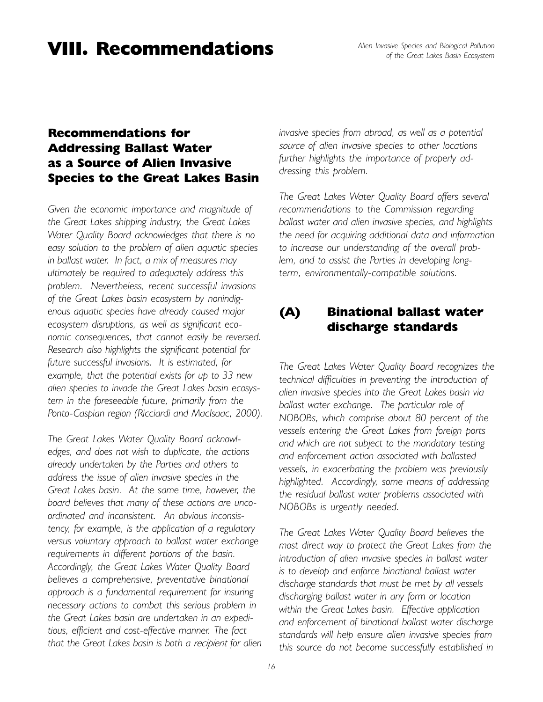### VIII. Recommendations

### Recommendations for Addressing Ballast Water as a Source of Alien Invasive Species to the Great Lakes Basin

*Given the economic importance and magnitude of the Great Lakes shipping industry, the Great Lakes Water Quality Board acknowledges that there is no easy solution to the problem of alien aquatic species in ballast water. In fact, a mix of measures may ultimately be required to adequately address this problem. Nevertheless, recent successful invasions of the Great Lakes basin ecosystem by nonindigenous aquatic species have already caused major ecosystem disruptions, as well as significant economic consequences, that cannot easily be reversed. Research also highlights the significant potential for future successful invasions. It is estimated, for example, that the potential exists for up to 33 new alien species to invade the Great Lakes basin ecosystem in the foreseeable future, primarily from the Ponto-Caspian region (Ricciardi and MacIsaac, 2000).*

*The Great Lakes Water Quality Board acknowledges, and does not wish to duplicate, the actions already undertaken by the Parties and others to address the issue of alien invasive species in the Great Lakes basin. At the same time, however, the board believes that many of these actions are uncoordinated and inconsistent. An obvious inconsistency, for example, is the application of a regulatory versus voluntary approach to ballast water exchange requirements in different portions of the basin. Accordingly, the Great Lakes Water Quality Board believes a comprehensive, preventative binational approach is a fundamental requirement for insuring necessary actions to combat this serious problem in the Great Lakes basin are undertaken in an expeditious, efficient and cost-effective manner. The fact that the Great Lakes basin is both a recipient for alien* *invasive species from abroad, as well as a potential source of alien invasive species to other locations further highlights the importance of properly addressing this problem.*

*The Great Lakes Water Quality Board offers several recommendations to the Commission regarding ballast water and alien invasive species, and highlights the need for acquiring additional data and information to increase our understanding of the overall problem, and to assist the Parties in developing longterm, environmentally-compatible solutions.*

### (A) Binational ballast water discharge standards

*The Great Lakes Water Quality Board recognizes the technical difficulties in preventing the introduction of alien invasive species into the Great Lakes basin via ballast water exchange. The particular role of NOBOBs, which comprise about 80 percent of the vessels entering the Great Lakes from foreign ports and which are not subject to the mandatory testing and enforcement action associated with ballasted vessels, in exacerbating the problem was previously highlighted. Accordingly, some means of addressing the residual ballast water problems associated with NOBOBs is urgently needed.*

*The Great Lakes Water Quality Board believes the most direct way to protect the Great Lakes from the introduction of alien invasive species in ballast water is to develop and enforce binational ballast water discharge standards that must be met by all vessels discharging ballast water in any form or location within the Great Lakes basin. Effective application and enforcement of binational ballast water discharge standards will help ensure alien invasive species from this source do not become successfully established in*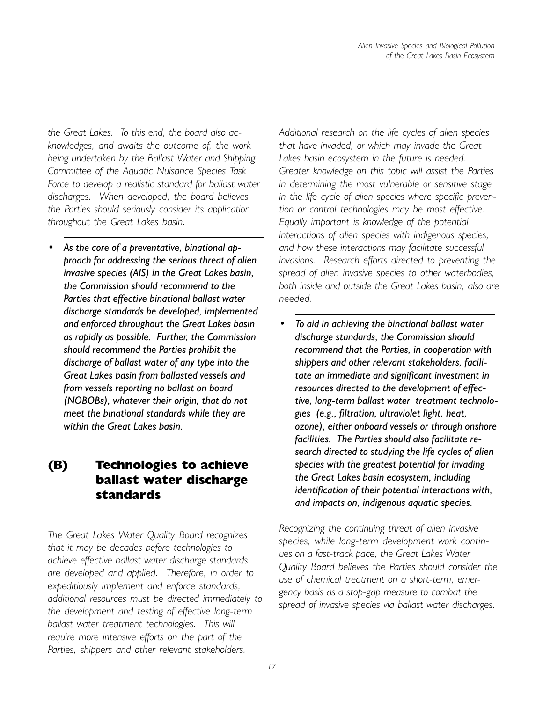*the Great Lakes. To this end, the board also acknowledges, and awaits the outcome of, the work being undertaken by the Ballast Water and Shipping Committee of the Aquatic Nuisance Species Task Force to develop a realistic standard for ballast water discharges. When developed, the board believes the Parties should seriously consider its application throughout the Great Lakes basin.*

As the core of a preventative, binational ap*proach for addressing the serious threat of alien invasive species (AIS) in the Great Lakes basin, the Commission should recommend to the Parties that effective binational ballast water discharge standards be developed, implemented and enforced throughout the Great Lakes basin as rapidly as possible. Further, the Commission should recommend the Parties prohibit the discharge of ballast water of any type into the Great Lakes basin from ballasted vessels and from vessels reporting no ballast on board (NOBOBs), whatever their origin, that do not meet the binational standards while they are within the Great Lakes basin.*

### (B) Technologies to achieve ballast water discharge standards

*The Great Lakes Water Quality Board recognizes that it may be decades before technologies to achieve effective ballast water discharge standards are developed and applied. Therefore, in order to expeditiously implement and enforce standards, additional resources must be directed immediately to the development and testing of effective long-term ballast water treatment technologies. This will require more intensive efforts on the part of the Parties, shippers and other relevant stakeholders.*

*Additional research on the life cycles of alien species that have invaded, or which may invade the Great Lakes basin ecosystem in the future is needed. Greater knowledge on this topic will assist the Parties in determining the most vulnerable or sensitive stage in the life cycle of alien species where specific prevention or control technologies may be most effective. Equally important is knowledge of the potential interactions of alien species with indigenous species, and how these interactions may facilitate successful invasions. Research efforts directed to preventing the spread of alien invasive species to other waterbodies, both inside and outside the Great Lakes basin, also are needed.*

**ï** *To aid in achieving the binational ballast water discharge standards, the Commission should recommend that the Parties, in cooperation with shippers and other relevant stakeholders, facilitate an immediate and significant investment in resources directed to the development of effective, long-term ballast water treatment technologies (e.g., filtration, ultraviolet light, heat, ozone), either onboard vessels or through onshore facilities. The Parties should also facilitate research directed to studying the life cycles of alien species with the greatest potential for invading the Great Lakes basin ecosystem, including identification of their potential interactions with, and impacts on, indigenous aquatic species.*

*Recognizing the continuing threat of alien invasive species, while long-term development work continues on a fast-track pace, the Great Lakes Water Quality Board believes the Parties should consider the use of chemical treatment on a short-term, emergency basis as a stop-gap measure to combat the spread of invasive species via ballast water discharges.*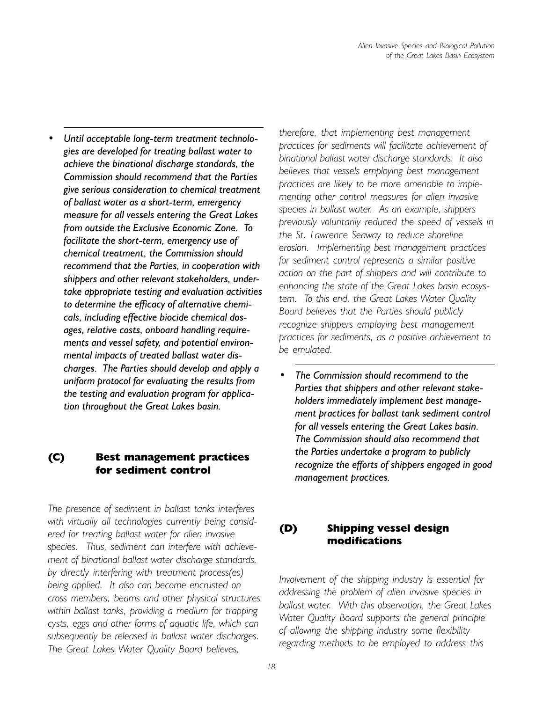Until acceptable long-term treatment technolo*gies are developed for treating ballast water to achieve the binational discharge standards, the Commission should recommend that the Parties give serious consideration to chemical treatment of ballast water as a short-term, emergency measure for all vessels entering the Great Lakes from outside the Exclusive Economic Zone. To facilitate the short-term, emergency use of chemical treatment, the Commission should recommend that the Parties, in cooperation with shippers and other relevant stakeholders, undertake appropriate testing and evaluation activities to determine the efficacy of alternative chemicals, including effective biocide chemical dosages, relative costs, onboard handling requirements and vessel safety, and potential environmental impacts of treated ballast water discharges. The Parties should develop and apply a uniform protocol for evaluating the results from the testing and evaluation program for application throughout the Great Lakes basin.*

#### (C) Best management practices for sediment control

*The presence of sediment in ballast tanks interferes with virtually all technologies currently being considered for treating ballast water for alien invasive species. Thus, sediment can interfere with achievement of binational ballast water discharge standards, by directly interfering with treatment process(es) being applied. It also can become encrusted on cross members, beams and other physical structures within ballast tanks, providing a medium for trapping cysts, eggs and other forms of aquatic life, which can subsequently be released in ballast water discharges. The Great Lakes Water Quality Board believes,*

*therefore, that implementing best management practices for sediments will facilitate achievement of binational ballast water discharge standards. It also believes that vessels employing best management practices are likely to be more amenable to implementing other control measures for alien invasive species in ballast water. As an example, shippers previously voluntarily reduced the speed of vessels in the St. Lawrence Seaway to reduce shoreline erosion. Implementing best management practices for sediment control represents a similar positive action on the part of shippers and will contribute to enhancing the state of the Great Lakes basin ecosystem. To this end, the Great Lakes Water Quality Board believes that the Parties should publicly recognize shippers employing best management practices for sediments, as a positive achievement to be emulated.*

*ï The Commission should recommend to the Parties that shippers and other relevant stakeholders immediately implement best management practices for ballast tank sediment control for all vessels entering the Great Lakes basin. The Commission should also recommend that the Parties undertake a program to publicly recognize the efforts of shippers engaged in good management practices.*

#### (D) Shipping vessel design modifications

*Involvement of the shipping industry is essential for addressing the problem of alien invasive species in ballast water. With this observation, the Great Lakes Water Quality Board supports the general principle of allowing the shipping industry some flexibility regarding methods to be employed to address this*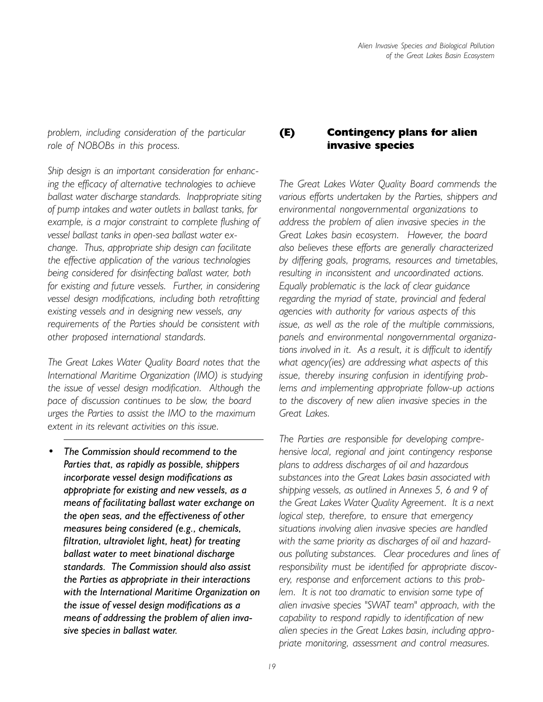*problem, including consideration of the particular role of NOBOBs in this process.*

*Ship design is an important consideration for enhancing the efficacy of alternative technologies to achieve ballast water discharge standards. Inappropriate siting of pump intakes and water outlets in ballast tanks, for example, is a major constraint to complete flushing of vessel ballast tanks in open-sea ballast water exchange. Thus, appropriate ship design can facilitate the effective application of the various technologies being considered for disinfecting ballast water, both for existing and future vessels. Further, in considering vessel design modifications, including both retrofitting existing vessels and in designing new vessels, any requirements of the Parties should be consistent with other proposed international standards.*

*The Great Lakes Water Quality Board notes that the International Maritime Organization (IMO) is studying the issue of vessel design modification. Although the pace of discussion continues to be slow, the board urges the Parties to assist the IMO to the maximum extent in its relevant activities on this issue.*

**ï** *The Commission should recommend to the Parties that, as rapidly as possible, shippers incorporate vessel design modifications as appropriate for existing and new vessels, as a means of facilitating ballast water exchange on the open seas, and the effectiveness of other measures being considered (e.g., chemicals, filtration, ultraviolet light, heat) for treating ballast water to meet binational discharge standards. The Commission should also assist the Parties as appropriate in their interactions with the International Maritime Organization on the issue of vessel design modifications as a means of addressing the problem of alien invasive species in ballast water.*

#### (E) Contingency plans for alien invasive species

*The Great Lakes Water Quality Board commends the various efforts undertaken by the Parties, shippers and environmental nongovernmental organizations to address the problem of alien invasive species in the Great Lakes basin ecosystem. However, the board also believes these efforts are generally characterized by differing goals, programs, resources and timetables, resulting in inconsistent and uncoordinated actions. Equally problematic is the lack of clear guidance regarding the myriad of state, provincial and federal agencies with authority for various aspects of this issue, as well as the role of the multiple commissions, panels and environmental nongovernmental organizations involved in it. As a result, it is difficult to identify what agency(ies) are addressing what aspects of this issue, thereby insuring confusion in identifying problems and implementing appropriate follow-up actions to the discovery of new alien invasive species in the Great Lakes.*

*The Parties are responsible for developing comprehensive local, regional and joint contingency response plans to address discharges of oil and hazardous substances into the Great Lakes basin associated with shipping vessels, as outlined in Annexes 5, 6 and 9 of the Great Lakes Water Quality Agreement. It is a next logical step, therefore, to ensure that emergency situations involving alien invasive species are handled with the same priority as discharges of oil and hazardous polluting substances. Clear procedures and lines of responsibility must be identified for appropriate discovery, response and enforcement actions to this problem. It is not too dramatic to envision some type of alien invasive species "SWAT team" approach, with the capability to respond rapidly to identification of new alien species in the Great Lakes basin, including appropriate monitoring, assessment and control measures.*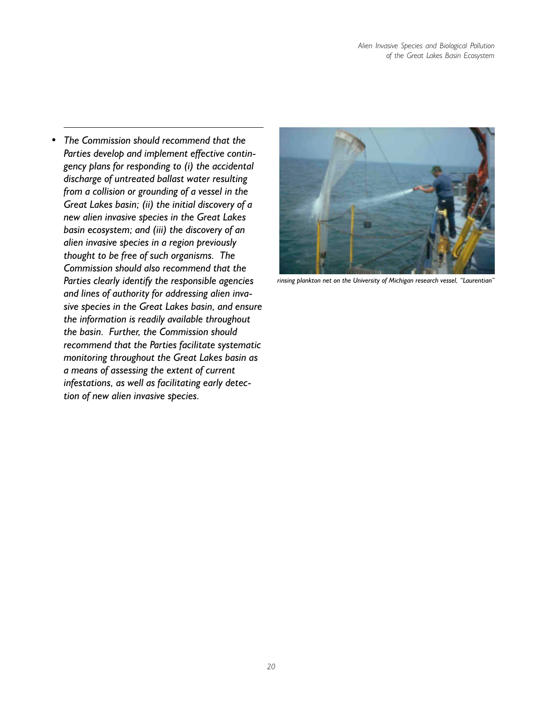*ï The Commission should recommend that the Parties develop and implement effective contingency plans for responding to (i) the accidental discharge of untreated ballast water resulting from a collision or grounding of a vessel in the Great Lakes basin; (ii) the initial discovery of a new alien invasive species in the Great Lakes basin ecosystem; and (iii) the discovery of an alien invasive species in a region previously thought to be free of such organisms. The Commission should also recommend that the Parties clearly identify the responsible agencies and lines of authority for addressing alien invasive species in the Great Lakes basin, and ensure the information is readily available throughout the basin. Further, the Commission should recommend that the Parties facilitate systematic monitoring throughout the Great Lakes basin as a means of assessing the extent of current infestations, as well as facilitating early detection of new alien invasive species.*



rinsing plankton net on the University of Michigan research vessel, "Laurentian"